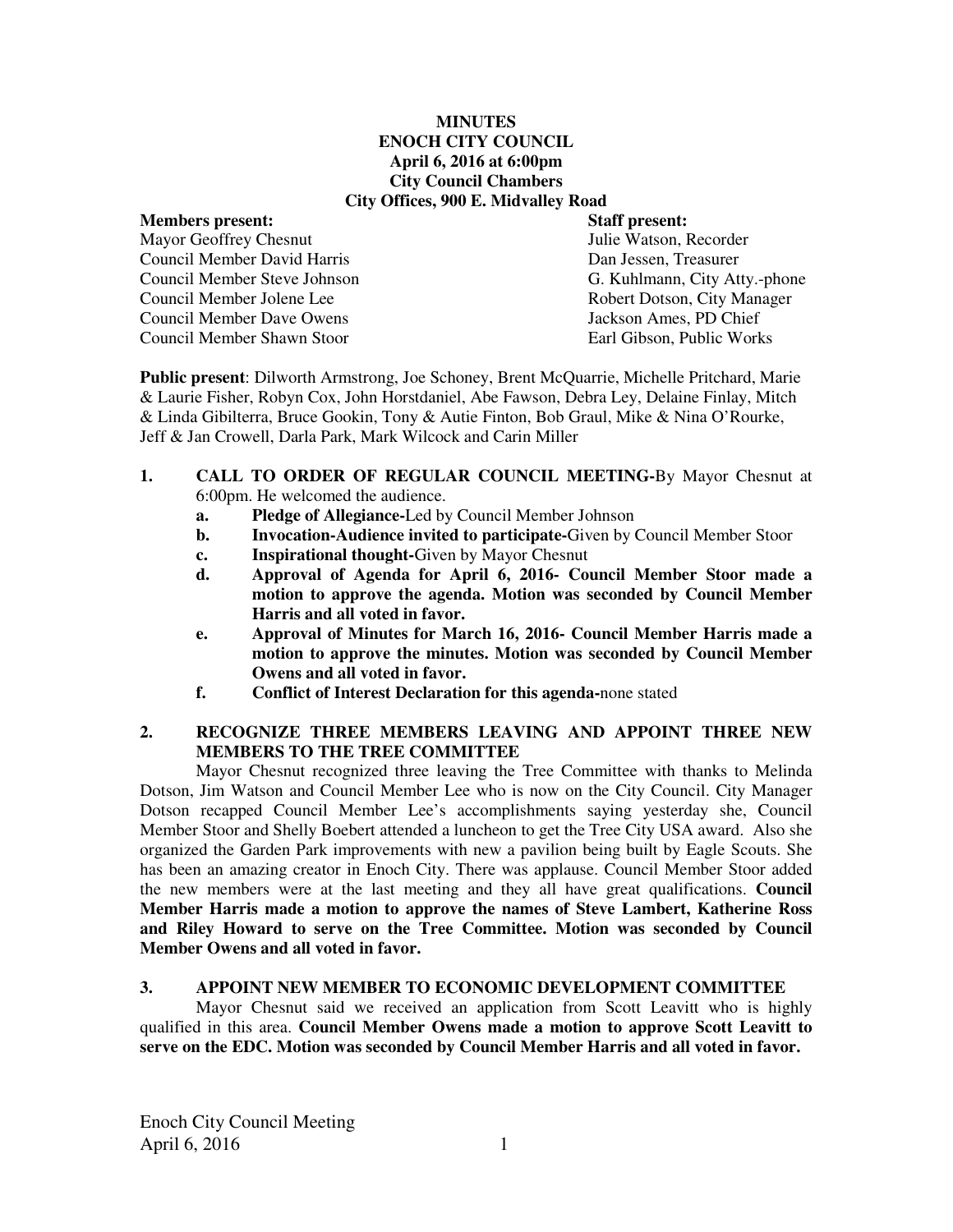#### **MINUTES ENOCH CITY COUNCIL April 6, 2016 at 6:00pm City Council Chambers City Offices, 900 E. Midvalley Road**

# **Members present:**  $\begin{array}{ccc}\n\bullet & \bullet & \bullet \\
\bullet & \bullet & \bullet \\
\bullet & \bullet & \bullet\n\end{array}$  **Staff present:**  $\begin{array}{ccc}\n\bullet & \bullet & \bullet \\
\bullet & \bullet & \bullet \\
\bullet & \bullet & \bullet\n\end{array}$  *Mavor Geoffrey Chesnut* Mayor Geoffrey Chesnut Council Member David Harris Dan Jessen, Treasurer

Council Member Jolene Lee Robert Dotson, City Manager<br>
Council Member Dave Owens<br>
Jackson Ames. PD Chief Council Member Dave Owens Council Member Shawn Stoor Earl Gibson, Public Works

Council Member Steve Johnson G. Kuhlmann, City Atty.-phone

**Public present**: Dilworth Armstrong, Joe Schoney, Brent McQuarrie, Michelle Pritchard, Marie & Laurie Fisher, Robyn Cox, John Horstdaniel, Abe Fawson, Debra Ley, Delaine Finlay, Mitch & Linda Gibilterra, Bruce Gookin, Tony & Autie Finton, Bob Graul, Mike & Nina O'Rourke, Jeff & Jan Crowell, Darla Park, Mark Wilcock and Carin Miller

# **1. CALL TO ORDER OF REGULAR COUNCIL MEETING-**By Mayor Chesnut at 6:00pm. He welcomed the audience.

- **a. Pledge of Allegiance-**Led by Council Member Johnson
- **b. Invocation-Audience invited to participate-**Given by Council Member Stoor
- **c. Inspirational thought-**Given by Mayor Chesnut
- **d. Approval of Agenda for April 6, 2016- Council Member Stoor made a motion to approve the agenda. Motion was seconded by Council Member Harris and all voted in favor.**
- **e. Approval of Minutes for March 16, 2016- Council Member Harris made a motion to approve the minutes. Motion was seconded by Council Member Owens and all voted in favor.**
- **f. Conflict of Interest Declaration for this agenda-**none stated

# **2. RECOGNIZE THREE MEMBERS LEAVING AND APPOINT THREE NEW MEMBERS TO THE TREE COMMITTEE**

Mayor Chesnut recognized three leaving the Tree Committee with thanks to Melinda Dotson, Jim Watson and Council Member Lee who is now on the City Council. City Manager Dotson recapped Council Member Lee's accomplishments saying yesterday she, Council Member Stoor and Shelly Boebert attended a luncheon to get the Tree City USA award. Also she organized the Garden Park improvements with new a pavilion being built by Eagle Scouts. She has been an amazing creator in Enoch City. There was applause. Council Member Stoor added the new members were at the last meeting and they all have great qualifications. **Council Member Harris made a motion to approve the names of Steve Lambert, Katherine Ross and Riley Howard to serve on the Tree Committee. Motion was seconded by Council Member Owens and all voted in favor.**

# **3. APPOINT NEW MEMBER TO ECONOMIC DEVELOPMENT COMMITTEE**

Mayor Chesnut said we received an application from Scott Leavitt who is highly qualified in this area. **Council Member Owens made a motion to approve Scott Leavitt to serve on the EDC. Motion was seconded by Council Member Harris and all voted in favor.**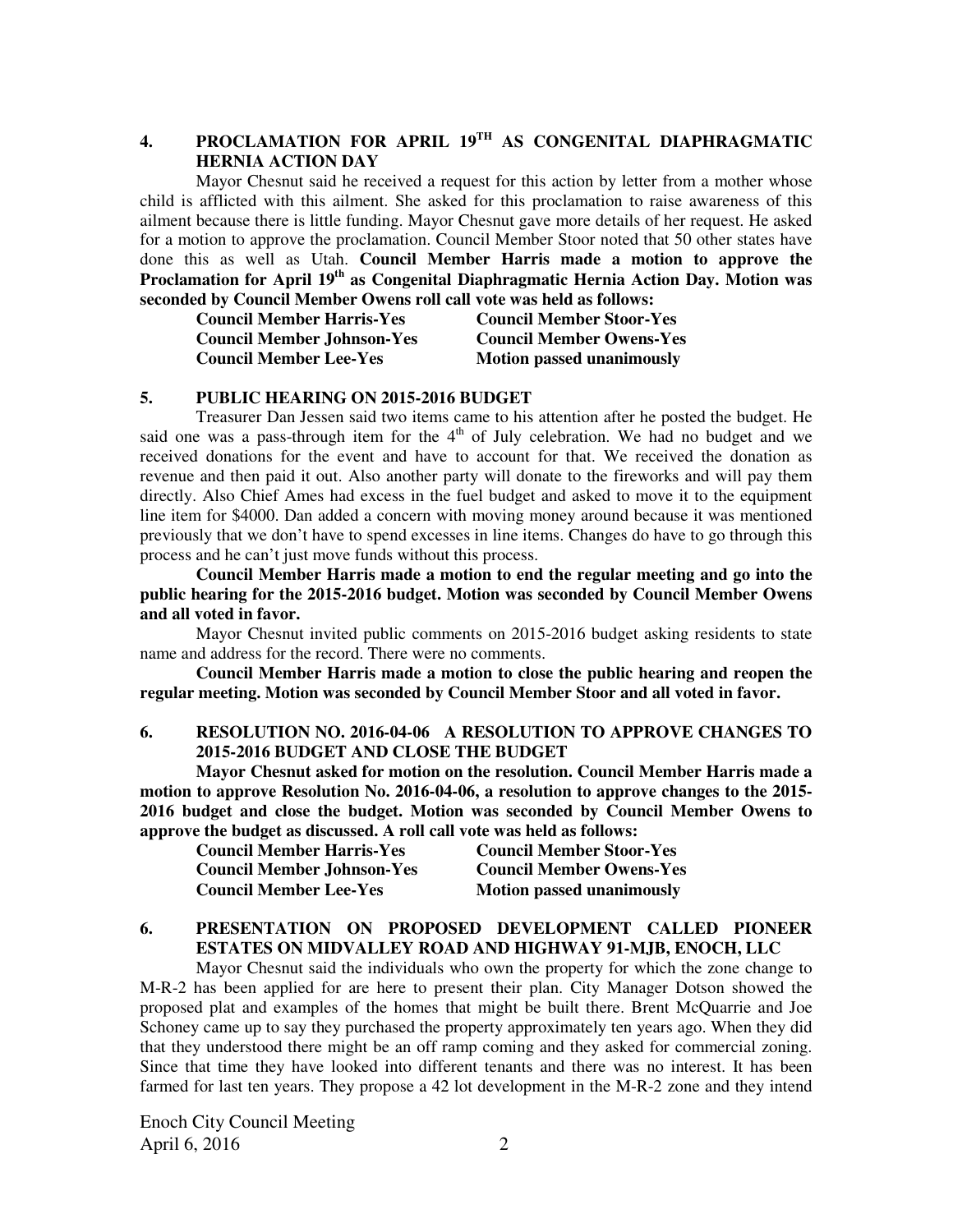# **4. PROCLAMATION FOR APRIL 19TH AS CONGENITAL DIAPHRAGMATIC HERNIA ACTION DAY**

Mayor Chesnut said he received a request for this action by letter from a mother whose child is afflicted with this ailment. She asked for this proclamation to raise awareness of this ailment because there is little funding. Mayor Chesnut gave more details of her request. He asked for a motion to approve the proclamation. Council Member Stoor noted that 50 other states have done this as well as Utah. **Council Member Harris made a motion to approve the Proclamation for April 19th as Congenital Diaphragmatic Hernia Action Day. Motion was seconded by Council Member Owens roll call vote was held as follows:** 

| <b>Council Member Harris-Yes</b>  | <b>Council Member Stoor-Yes</b>  |
|-----------------------------------|----------------------------------|
| <b>Council Member Johnson-Yes</b> | <b>Council Member Owens-Yes</b>  |
| <b>Council Member Lee-Yes</b>     | <b>Motion passed unanimously</b> |

#### **5. PUBLIC HEARING ON 2015-2016 BUDGET**

Treasurer Dan Jessen said two items came to his attention after he posted the budget. He said one was a pass-through item for the  $4<sup>th</sup>$  of July celebration. We had no budget and we received donations for the event and have to account for that. We received the donation as revenue and then paid it out. Also another party will donate to the fireworks and will pay them directly. Also Chief Ames had excess in the fuel budget and asked to move it to the equipment line item for \$4000. Dan added a concern with moving money around because it was mentioned previously that we don't have to spend excesses in line items. Changes do have to go through this process and he can't just move funds without this process.

**Council Member Harris made a motion to end the regular meeting and go into the public hearing for the 2015-2016 budget. Motion was seconded by Council Member Owens and all voted in favor.** 

Mayor Chesnut invited public comments on 2015-2016 budget asking residents to state name and address for the record. There were no comments.

**Council Member Harris made a motion to close the public hearing and reopen the regular meeting. Motion was seconded by Council Member Stoor and all voted in favor.**

### **6. RESOLUTION NO. 2016-04-06 A RESOLUTION TO APPROVE CHANGES TO 2015-2016 BUDGET AND CLOSE THE BUDGET**

**Mayor Chesnut asked for motion on the resolution. Council Member Harris made a motion to approve Resolution No. 2016-04-06, a resolution to approve changes to the 2015- 2016 budget and close the budget. Motion was seconded by Council Member Owens to approve the budget as discussed. A roll call vote was held as follows:** 

| <b>Council Member Harris-Yes</b>  | <b>Council Member Stoor-Yes</b>  |
|-----------------------------------|----------------------------------|
| <b>Council Member Johnson-Yes</b> | <b>Council Member Owens-Yes</b>  |
| <b>Council Member Lee-Yes</b>     | <b>Motion passed unanimously</b> |

### **6. PRESENTATION ON PROPOSED DEVELOPMENT CALLED PIONEER ESTATES ON MIDVALLEY ROAD AND HIGHWAY 91-MJB, ENOCH, LLC**

Mayor Chesnut said the individuals who own the property for which the zone change to M-R-2 has been applied for are here to present their plan. City Manager Dotson showed the proposed plat and examples of the homes that might be built there. Brent McQuarrie and Joe Schoney came up to say they purchased the property approximately ten years ago. When they did that they understood there might be an off ramp coming and they asked for commercial zoning. Since that time they have looked into different tenants and there was no interest. It has been farmed for last ten years. They propose a 42 lot development in the M-R-2 zone and they intend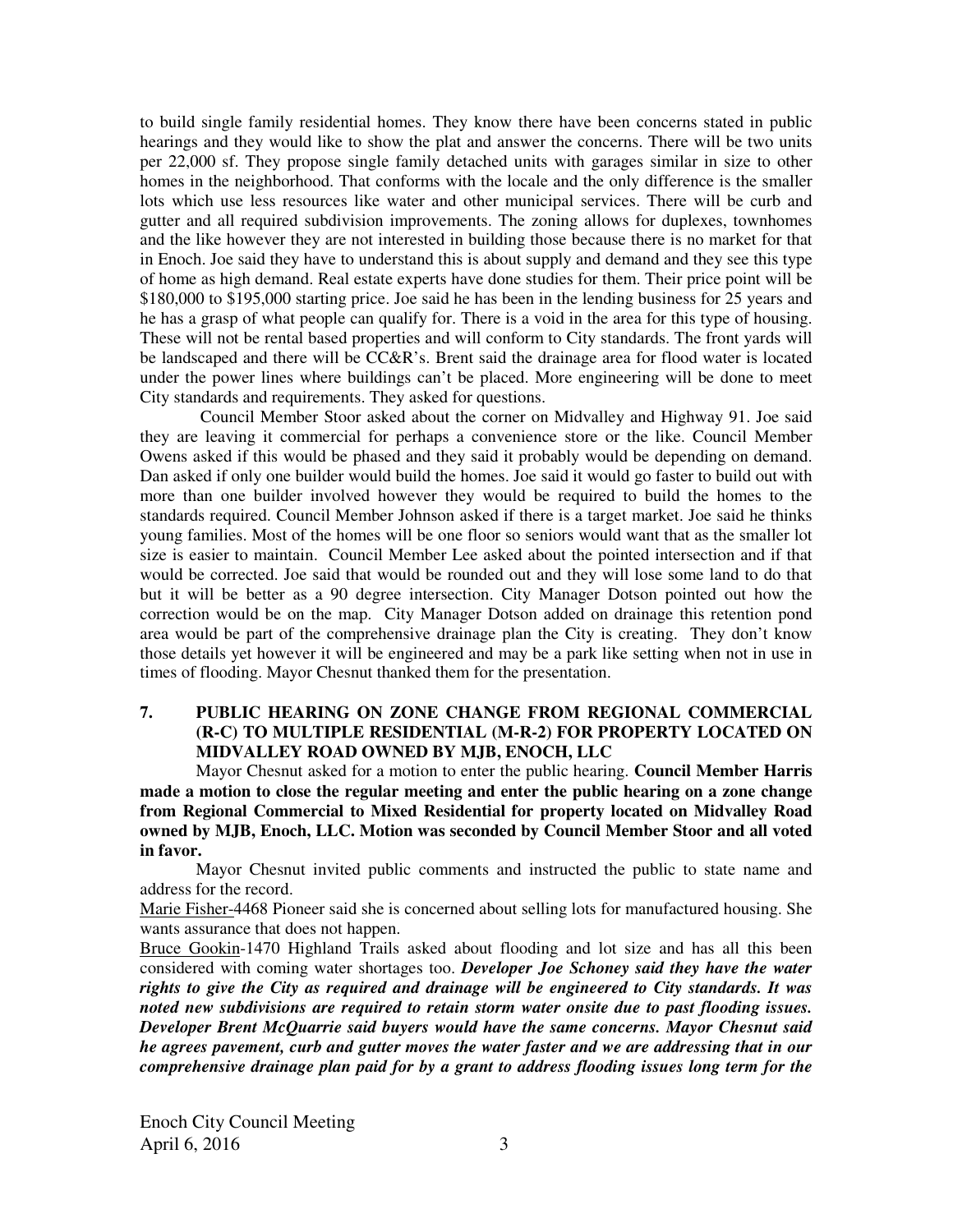to build single family residential homes. They know there have been concerns stated in public hearings and they would like to show the plat and answer the concerns. There will be two units per 22,000 sf. They propose single family detached units with garages similar in size to other homes in the neighborhood. That conforms with the locale and the only difference is the smaller lots which use less resources like water and other municipal services. There will be curb and gutter and all required subdivision improvements. The zoning allows for duplexes, townhomes and the like however they are not interested in building those because there is no market for that in Enoch. Joe said they have to understand this is about supply and demand and they see this type of home as high demand. Real estate experts have done studies for them. Their price point will be \$180,000 to \$195,000 starting price. Joe said he has been in the lending business for 25 years and he has a grasp of what people can qualify for. There is a void in the area for this type of housing. These will not be rental based properties and will conform to City standards. The front yards will be landscaped and there will be CC&R's. Brent said the drainage area for flood water is located under the power lines where buildings can't be placed. More engineering will be done to meet City standards and requirements. They asked for questions.

 Council Member Stoor asked about the corner on Midvalley and Highway 91. Joe said they are leaving it commercial for perhaps a convenience store or the like. Council Member Owens asked if this would be phased and they said it probably would be depending on demand. Dan asked if only one builder would build the homes. Joe said it would go faster to build out with more than one builder involved however they would be required to build the homes to the standards required. Council Member Johnson asked if there is a target market. Joe said he thinks young families. Most of the homes will be one floor so seniors would want that as the smaller lot size is easier to maintain. Council Member Lee asked about the pointed intersection and if that would be corrected. Joe said that would be rounded out and they will lose some land to do that but it will be better as a 90 degree intersection. City Manager Dotson pointed out how the correction would be on the map. City Manager Dotson added on drainage this retention pond area would be part of the comprehensive drainage plan the City is creating. They don't know those details yet however it will be engineered and may be a park like setting when not in use in times of flooding. Mayor Chesnut thanked them for the presentation.

# **7. PUBLIC HEARING ON ZONE CHANGE FROM REGIONAL COMMERCIAL (R-C) TO MULTIPLE RESIDENTIAL (M-R-2) FOR PROPERTY LOCATED ON MIDVALLEY ROAD OWNED BY MJB, ENOCH, LLC**

Mayor Chesnut asked for a motion to enter the public hearing. **Council Member Harris made a motion to close the regular meeting and enter the public hearing on a zone change from Regional Commercial to Mixed Residential for property located on Midvalley Road owned by MJB, Enoch, LLC. Motion was seconded by Council Member Stoor and all voted in favor.** 

Mayor Chesnut invited public comments and instructed the public to state name and address for the record.

Marie Fisher-4468 Pioneer said she is concerned about selling lots for manufactured housing. She wants assurance that does not happen.

Bruce Gookin-1470 Highland Trails asked about flooding and lot size and has all this been considered with coming water shortages too. *Developer Joe Schoney said they have the water rights to give the City as required and drainage will be engineered to City standards. It was noted new subdivisions are required to retain storm water onsite due to past flooding issues. Developer Brent McQuarrie said buyers would have the same concerns. Mayor Chesnut said he agrees pavement, curb and gutter moves the water faster and we are addressing that in our comprehensive drainage plan paid for by a grant to address flooding issues long term for the*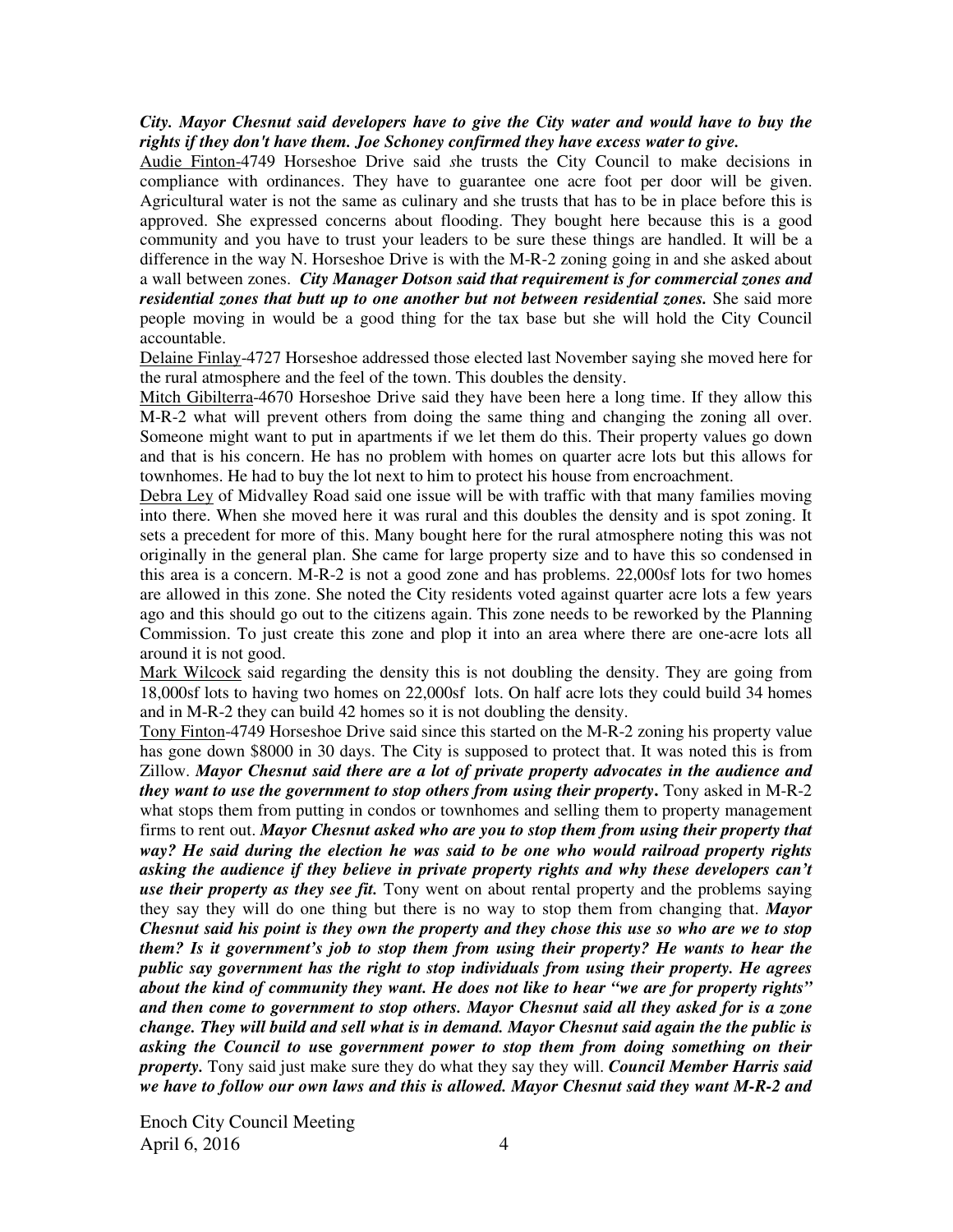#### *City. Mayor Chesnut said developers have to give the City water and would have to buy the rights if they don't have them. Joe Schoney confirmed they have excess water to give.*

Audie Finton-4749 Horseshoe Drive said *s*he trusts the City Council to make decisions in compliance with ordinances. They have to guarantee one acre foot per door will be given. Agricultural water is not the same as culinary and she trusts that has to be in place before this is approved. She expressed concerns about flooding. They bought here because this is a good community and you have to trust your leaders to be sure these things are handled. It will be a difference in the way N. Horseshoe Drive is with the M-R-2 zoning going in and she asked about a wall between zones.*City Manager Dotson said that requirement is for commercial zones and residential zones that butt up to one another but not between residential zones.* She said more people moving in would be a good thing for the tax base but she will hold the City Council accountable.

Delaine Finlay-4727 Horseshoe addressed those elected last November saying she moved here for the rural atmosphere and the feel of the town. This doubles the density.

Mitch Gibilterra-4670 Horseshoe Drive said they have been here a long time. If they allow this M-R-2 what will prevent others from doing the same thing and changing the zoning all over. Someone might want to put in apartments if we let them do this. Their property values go down and that is his concern. He has no problem with homes on quarter acre lots but this allows for townhomes. He had to buy the lot next to him to protect his house from encroachment.

Debra Ley of Midvalley Road said one issue will be with traffic with that many families moving into there. When she moved here it was rural and this doubles the density and is spot zoning. It sets a precedent for more of this. Many bought here for the rural atmosphere noting this was not originally in the general plan. She came for large property size and to have this so condensed in this area is a concern. M-R-2 is not a good zone and has problems. 22,000sf lots for two homes are allowed in this zone. She noted the City residents voted against quarter acre lots a few years ago and this should go out to the citizens again. This zone needs to be reworked by the Planning Commission. To just create this zone and plop it into an area where there are one-acre lots all around it is not good.

Mark Wilcock said regarding the density this is not doubling the density. They are going from 18,000sf lots to having two homes on 22,000sf lots. On half acre lots they could build 34 homes and in M-R-2 they can build 42 homes so it is not doubling the density.

Tony Finton-4749 Horseshoe Drive said since this started on the M-R-2 zoning his property value has gone down \$8000 in 30 days. The City is supposed to protect that. It was noted this is from Zillow. *Mayor Chesnut said there are a lot of private property advocates in the audience and they want to use the government to stop others from using their property***.** Tony asked in M-R-2 what stops them from putting in condos or townhomes and selling them to property management firms to rent out. *Mayor Chesnut asked who are you to stop them from using their property that way? He said during the election he was said to be one who would railroad property rights asking the audience if they believe in private property rights and why these developers can't use their property as they see fit.* Tony went on about rental property and the problems saying they say they will do one thing but there is no way to stop them from changing that. *Mayor Chesnut said his point is they own the property and they chose this use so who are we to stop them? Is it government's job to stop them from using their property? He wants to hear the public say government has the right to stop individuals from using their property. He agrees about the kind of community they want. He does not like to hear "we are for property rights" and then come to government to stop others. Mayor Chesnut said all they asked for is a zone change. They will build and sell what is in demand. Mayor Chesnut said again the the public is asking the Council to u***se** *government power to stop them from doing something on their property.* Tony said just make sure they do what they say they will. *Council Member Harris said we have to follow our own laws and this is allowed. Mayor Chesnut said they want M-R-2 and*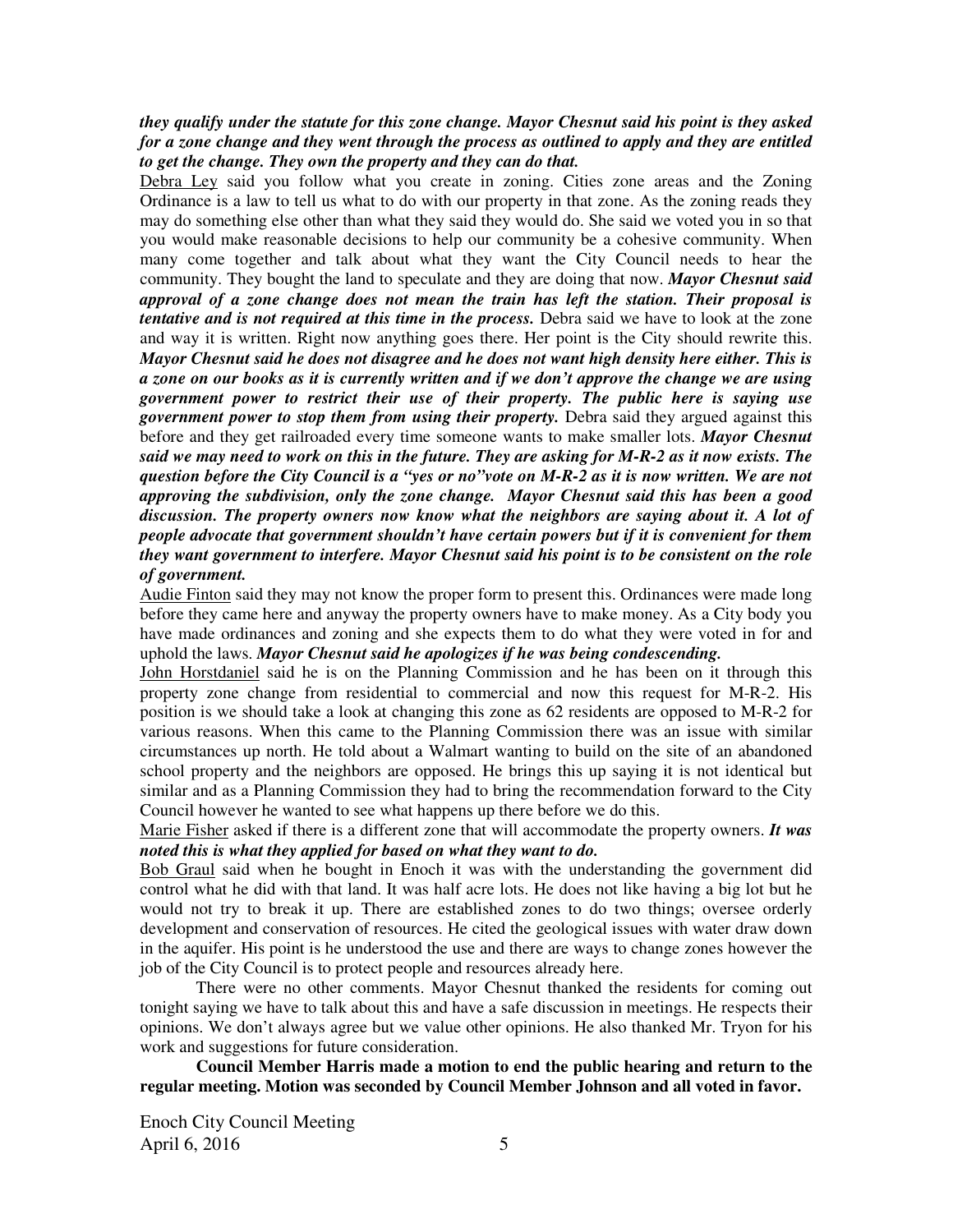### *they qualify under the statute for this zone change. Mayor Chesnut said his point is they asked for a zone change and they went through the process as outlined to apply and they are entitled to get the change. They own the property and they can do that.*

Debra Ley said you follow what you create in zoning. Cities zone areas and the Zoning Ordinance is a law to tell us what to do with our property in that zone. As the zoning reads they may do something else other than what they said they would do. She said we voted you in so that you would make reasonable decisions to help our community be a cohesive community. When many come together and talk about what they want the City Council needs to hear the community. They bought the land to speculate and they are doing that now. *Mayor Chesnut said approval of a zone change does not mean the train has left the station. Their proposal is tentative and is not required at this time in the process.* Debra said we have to look at the zone and way it is written. Right now anything goes there. Her point is the City should rewrite this. *Mayor Chesnut said he does not disagree and he does not want high density here either. This is a zone on our books as it is currently written and if we don't approve the change we are using government power to restrict their use of their property. The public here is saying use government power to stop them from using their property.* Debra said they argued against this before and they get railroaded every time someone wants to make smaller lots. *Mayor Chesnut said we may need to work on this in the future. They are asking for M-R-2 as it now exists. The question before the City Council is a "yes or no"vote on M-R-2 as it is now written. We are not approving the subdivision, only the zone change.**Mayor Chesnut said this has been a good discussion. The property owners now know what the neighbors are saying about it. A lot of people advocate that government shouldn't have certain powers but if it is convenient for them they want government to interfere. Mayor Chesnut said his point is to be consistent on the role of government.*

Audie Finton said they may not know the proper form to present this. Ordinances were made long before they came here and anyway the property owners have to make money. As a City body you have made ordinances and zoning and she expects them to do what they were voted in for and uphold the laws. *Mayor Chesnut said he apologizes if he was being condescending.* 

John Horstdaniel said he is on the Planning Commission and he has been on it through this property zone change from residential to commercial and now this request for M-R-2. His position is we should take a look at changing this zone as 62 residents are opposed to M-R-2 for various reasons. When this came to the Planning Commission there was an issue with similar circumstances up north. He told about a Walmart wanting to build on the site of an abandoned school property and the neighbors are opposed. He brings this up saying it is not identical but similar and as a Planning Commission they had to bring the recommendation forward to the City Council however he wanted to see what happens up there before we do this.

Marie Fisher asked if there is a different zone that will accommodate the property owners. *It was noted this is what they applied for based on what they want to do.* 

Bob Graul said when he bought in Enoch it was with the understanding the government did control what he did with that land. It was half acre lots. He does not like having a big lot but he would not try to break it up. There are established zones to do two things; oversee orderly development and conservation of resources. He cited the geological issues with water draw down in the aquifer. His point is he understood the use and there are ways to change zones however the job of the City Council is to protect people and resources already here.

There were no other comments. Mayor Chesnut thanked the residents for coming out tonight saying we have to talk about this and have a safe discussion in meetings. He respects their opinions. We don't always agree but we value other opinions. He also thanked Mr. Tryon for his work and suggestions for future consideration.

**Council Member Harris made a motion to end the public hearing and return to the regular meeting. Motion was seconded by Council Member Johnson and all voted in favor.**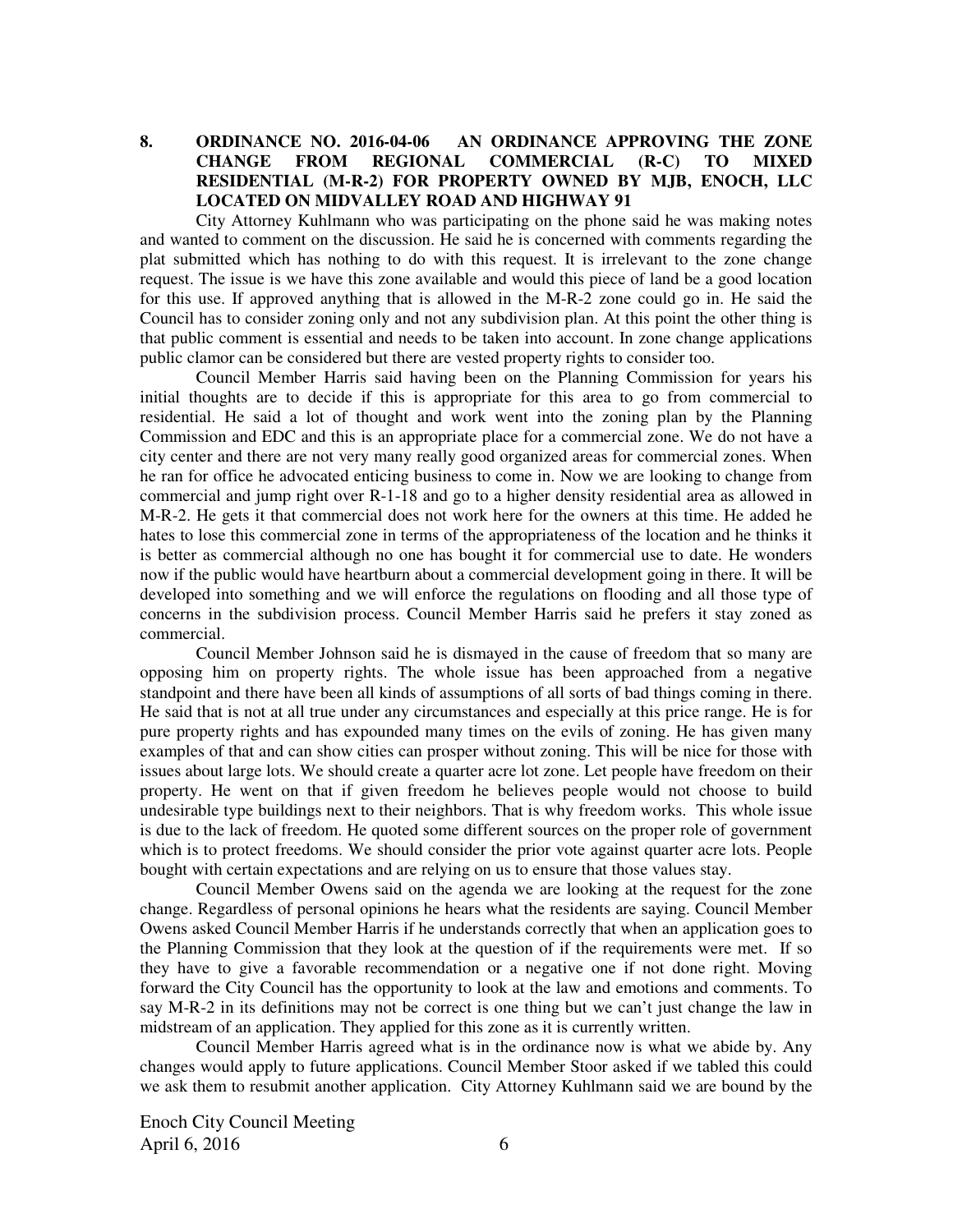# **8. ORDINANCE NO. 2016-04-06 AN ORDINANCE APPROVING THE ZONE CHANGE FROM REGIONAL COMMERCIAL (R-C) TO MIXED RESIDENTIAL (M-R-2) FOR PROPERTY OWNED BY MJB, ENOCH, LLC LOCATED ON MIDVALLEY ROAD AND HIGHWAY 91**

City Attorney Kuhlmann who was participating on the phone said he was making notes and wanted to comment on the discussion. He said he is concerned with comments regarding the plat submitted which has nothing to do with this request. It is irrelevant to the zone change request. The issue is we have this zone available and would this piece of land be a good location for this use. If approved anything that is allowed in the M-R-2 zone could go in. He said the Council has to consider zoning only and not any subdivision plan. At this point the other thing is that public comment is essential and needs to be taken into account. In zone change applications public clamor can be considered but there are vested property rights to consider too.

Council Member Harris said having been on the Planning Commission for years his initial thoughts are to decide if this is appropriate for this area to go from commercial to residential. He said a lot of thought and work went into the zoning plan by the Planning Commission and EDC and this is an appropriate place for a commercial zone. We do not have a city center and there are not very many really good organized areas for commercial zones. When he ran for office he advocated enticing business to come in. Now we are looking to change from commercial and jump right over R-1-18 and go to a higher density residential area as allowed in M-R-2. He gets it that commercial does not work here for the owners at this time. He added he hates to lose this commercial zone in terms of the appropriateness of the location and he thinks it is better as commercial although no one has bought it for commercial use to date. He wonders now if the public would have heartburn about a commercial development going in there. It will be developed into something and we will enforce the regulations on flooding and all those type of concerns in the subdivision process. Council Member Harris said he prefers it stay zoned as commercial.

Council Member Johnson said he is dismayed in the cause of freedom that so many are opposing him on property rights. The whole issue has been approached from a negative standpoint and there have been all kinds of assumptions of all sorts of bad things coming in there. He said that is not at all true under any circumstances and especially at this price range. He is for pure property rights and has expounded many times on the evils of zoning. He has given many examples of that and can show cities can prosper without zoning. This will be nice for those with issues about large lots. We should create a quarter acre lot zone. Let people have freedom on their property. He went on that if given freedom he believes people would not choose to build undesirable type buildings next to their neighbors. That is why freedom works. This whole issue is due to the lack of freedom. He quoted some different sources on the proper role of government which is to protect freedoms. We should consider the prior vote against quarter acre lots. People bought with certain expectations and are relying on us to ensure that those values stay.

Council Member Owens said on the agenda we are looking at the request for the zone change. Regardless of personal opinions he hears what the residents are saying. Council Member Owens asked Council Member Harris if he understands correctly that when an application goes to the Planning Commission that they look at the question of if the requirements were met. If so they have to give a favorable recommendation or a negative one if not done right. Moving forward the City Council has the opportunity to look at the law and emotions and comments. To say M-R-2 in its definitions may not be correct is one thing but we can't just change the law in midstream of an application. They applied for this zone as it is currently written.

Council Member Harris agreed what is in the ordinance now is what we abide by. Any changes would apply to future applications. Council Member Stoor asked if we tabled this could we ask them to resubmit another application. City Attorney Kuhlmann said we are bound by the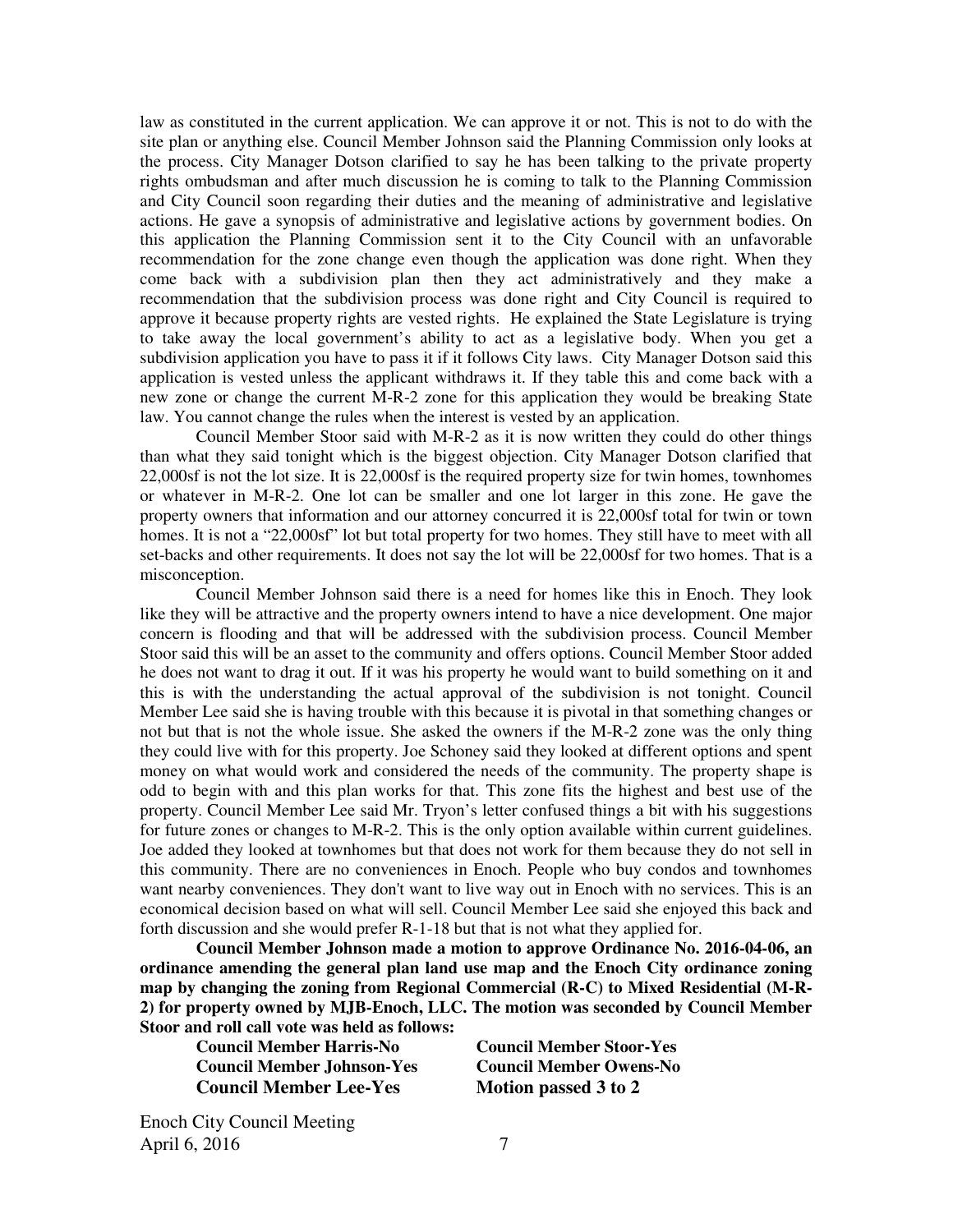law as constituted in the current application. We can approve it or not. This is not to do with the site plan or anything else. Council Member Johnson said the Planning Commission only looks at the process. City Manager Dotson clarified to say he has been talking to the private property rights ombudsman and after much discussion he is coming to talk to the Planning Commission and City Council soon regarding their duties and the meaning of administrative and legislative actions. He gave a synopsis of administrative and legislative actions by government bodies. On this application the Planning Commission sent it to the City Council with an unfavorable recommendation for the zone change even though the application was done right. When they come back with a subdivision plan then they act administratively and they make a recommendation that the subdivision process was done right and City Council is required to approve it because property rights are vested rights. He explained the State Legislature is trying to take away the local government's ability to act as a legislative body. When you get a subdivision application you have to pass it if it follows City laws. City Manager Dotson said this application is vested unless the applicant withdraws it. If they table this and come back with a new zone or change the current M-R-2 zone for this application they would be breaking State law. You cannot change the rules when the interest is vested by an application.

Council Member Stoor said with M-R-2 as it is now written they could do other things than what they said tonight which is the biggest objection. City Manager Dotson clarified that 22,000sf is not the lot size. It is 22,000sf is the required property size for twin homes, townhomes or whatever in M-R-2. One lot can be smaller and one lot larger in this zone. He gave the property owners that information and our attorney concurred it is 22,000sf total for twin or town homes. It is not a "22,000sf" lot but total property for two homes. They still have to meet with all set-backs and other requirements. It does not say the lot will be 22,000sf for two homes. That is a misconception.

Council Member Johnson said there is a need for homes like this in Enoch. They look like they will be attractive and the property owners intend to have a nice development. One major concern is flooding and that will be addressed with the subdivision process. Council Member Stoor said this will be an asset to the community and offers options. Council Member Stoor added he does not want to drag it out. If it was his property he would want to build something on it and this is with the understanding the actual approval of the subdivision is not tonight. Council Member Lee said she is having trouble with this because it is pivotal in that something changes or not but that is not the whole issue. She asked the owners if the M-R-2 zone was the only thing they could live with for this property. Joe Schoney said they looked at different options and spent money on what would work and considered the needs of the community. The property shape is odd to begin with and this plan works for that. This zone fits the highest and best use of the property. Council Member Lee said Mr. Tryon's letter confused things a bit with his suggestions for future zones or changes to M-R-2. This is the only option available within current guidelines. Joe added they looked at townhomes but that does not work for them because they do not sell in this community. There are no conveniences in Enoch. People who buy condos and townhomes want nearby conveniences. They don't want to live way out in Enoch with no services. This is an economical decision based on what will sell. Council Member Lee said she enjoyed this back and forth discussion and she would prefer R-1-18 but that is not what they applied for.

**Council Member Johnson made a motion to approve Ordinance No. 2016-04-06, an ordinance amending the general plan land use map and the Enoch City ordinance zoning map by changing the zoning from Regional Commercial (R-C) to Mixed Residential (M-R-2) for property owned by MJB-Enoch, LLC. The motion was seconded by Council Member Stoor and roll call vote was held as follows:** 

**Council Member Harris-No Council Member Stoor-Yes Council Member Johnson-Yes Council Member Owens-No**  Council Member Lee-Yes Motion passed 3 to 2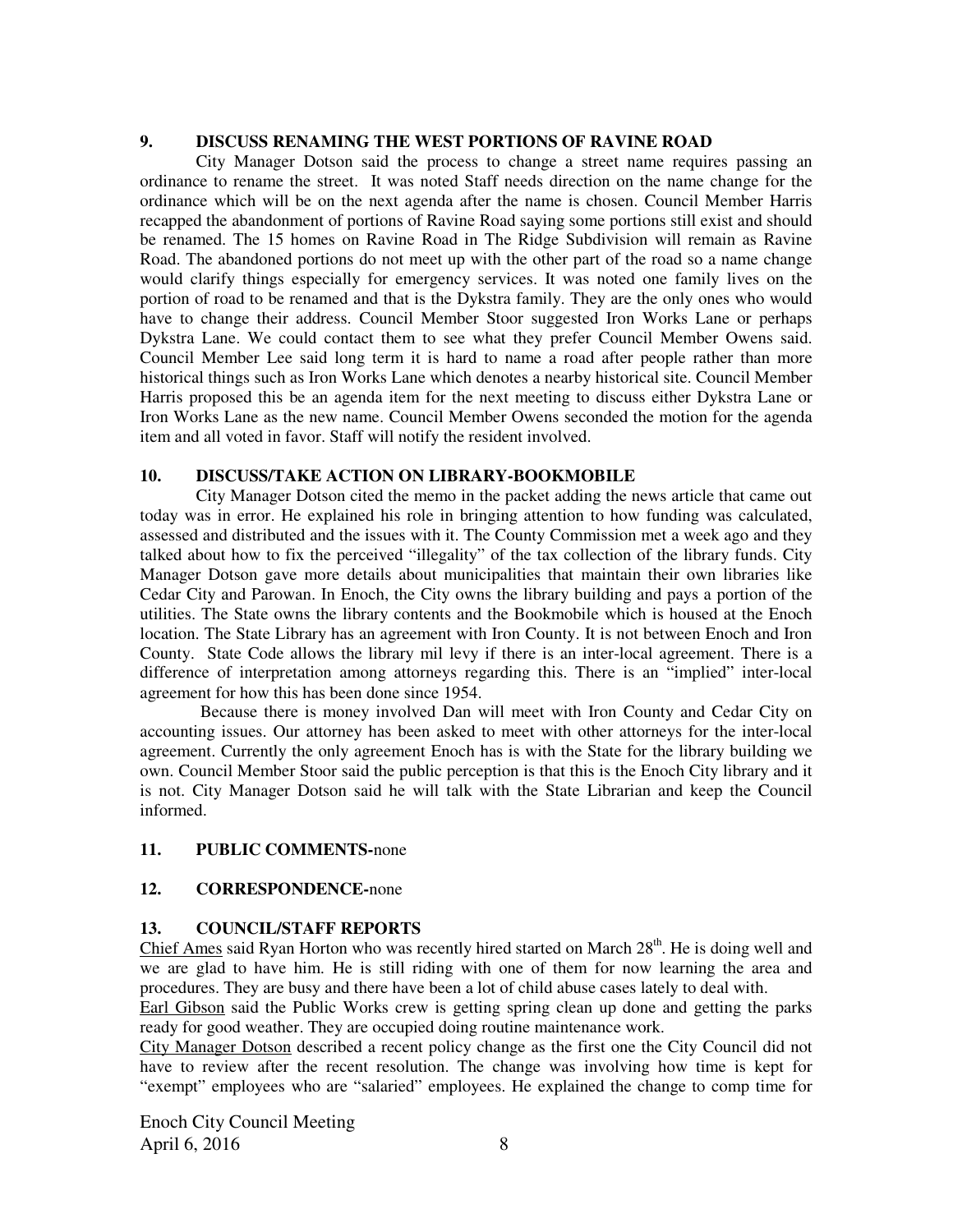#### **9. DISCUSS RENAMING THE WEST PORTIONS OF RAVINE ROAD**

City Manager Dotson said the process to change a street name requires passing an ordinance to rename the street. It was noted Staff needs direction on the name change for the ordinance which will be on the next agenda after the name is chosen. Council Member Harris recapped the abandonment of portions of Ravine Road saying some portions still exist and should be renamed. The 15 homes on Ravine Road in The Ridge Subdivision will remain as Ravine Road. The abandoned portions do not meet up with the other part of the road so a name change would clarify things especially for emergency services. It was noted one family lives on the portion of road to be renamed and that is the Dykstra family. They are the only ones who would have to change their address. Council Member Stoor suggested Iron Works Lane or perhaps Dykstra Lane. We could contact them to see what they prefer Council Member Owens said. Council Member Lee said long term it is hard to name a road after people rather than more historical things such as Iron Works Lane which denotes a nearby historical site. Council Member Harris proposed this be an agenda item for the next meeting to discuss either Dykstra Lane or Iron Works Lane as the new name. Council Member Owens seconded the motion for the agenda item and all voted in favor. Staff will notify the resident involved.

#### **10. DISCUSS/TAKE ACTION ON LIBRARY-BOOKMOBILE**

City Manager Dotson cited the memo in the packet adding the news article that came out today was in error. He explained his role in bringing attention to how funding was calculated, assessed and distributed and the issues with it. The County Commission met a week ago and they talked about how to fix the perceived "illegality" of the tax collection of the library funds. City Manager Dotson gave more details about municipalities that maintain their own libraries like Cedar City and Parowan. In Enoch, the City owns the library building and pays a portion of the utilities. The State owns the library contents and the Bookmobile which is housed at the Enoch location. The State Library has an agreement with Iron County. It is not between Enoch and Iron County. State Code allows the library mil levy if there is an inter-local agreement. There is a difference of interpretation among attorneys regarding this. There is an "implied" inter-local agreement for how this has been done since 1954.

Because there is money involved Dan will meet with Iron County and Cedar City on accounting issues. Our attorney has been asked to meet with other attorneys for the inter-local agreement. Currently the only agreement Enoch has is with the State for the library building we own. Council Member Stoor said the public perception is that this is the Enoch City library and it is not. City Manager Dotson said he will talk with the State Librarian and keep the Council informed.

### **11. PUBLIC COMMENTS-**none

### **12. CORRESPONDENCE-**none

### **13. COUNCIL/STAFF REPORTS**

Chief Ames said Ryan Horton who was recently hired started on March  $28<sup>th</sup>$ . He is doing well and we are glad to have him. He is still riding with one of them for now learning the area and procedures. They are busy and there have been a lot of child abuse cases lately to deal with.

Earl Gibson said the Public Works crew is getting spring clean up done and getting the parks ready for good weather. They are occupied doing routine maintenance work.

City Manager Dotson described a recent policy change as the first one the City Council did not have to review after the recent resolution. The change was involving how time is kept for "exempt" employees who are "salaried" employees. He explained the change to comp time for